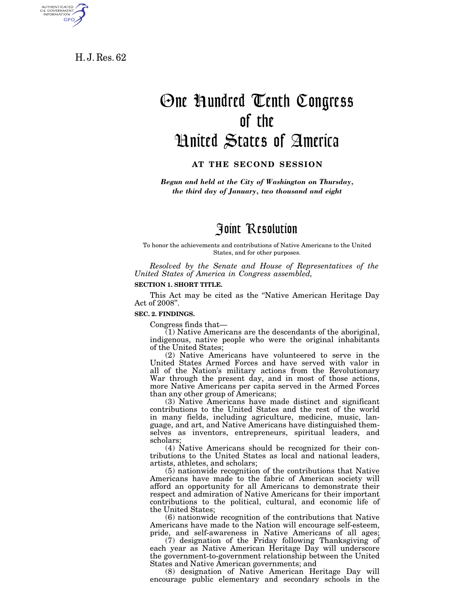H. J. Res. 62

AUTHENTICATED<br>U.S. GOVERNMENT<br>INFORMATION

GPO

# One Hundred Tenth Congress of the United States of America

### **AT THE SECOND SESSION**

*Begun and held at the City of Washington on Thursday, the third day of January, two thousand and eight* 

# Joint Resolution

To honor the achievements and contributions of Native Americans to the United States, and for other purposes.

*Resolved by the Senate and House of Representatives of the United States of America in Congress assembled,* 

#### **SECTION 1. SHORT TITLE.**

This Act may be cited as the "Native American Heritage Day" Act of 2008''.

#### **SEC. 2. FINDINGS.**

Congress finds that—

(1) Native Americans are the descendants of the aboriginal, indigenous, native people who were the original inhabitants of the United States;

(2) Native Americans have volunteered to serve in the United States Armed Forces and have served with valor in all of the Nation's military actions from the Revolutionary War through the present day, and in most of those actions, more Native Americans per capita served in the Armed Forces than any other group of Americans;

(3) Native Americans have made distinct and significant contributions to the United States and the rest of the world in many fields, including agriculture, medicine, music, language, and art, and Native Americans have distinguished themselves as inventors, entrepreneurs, spiritual leaders, and scholars;

(4) Native Americans should be recognized for their contributions to the United States as local and national leaders, artists, athletes, and scholars;

(5) nationwide recognition of the contributions that Native Americans have made to the fabric of American society will afford an opportunity for all Americans to demonstrate their respect and admiration of Native Americans for their important contributions to the political, cultural, and economic life of the United States;

(6) nationwide recognition of the contributions that Native Americans have made to the Nation will encourage self-esteem, pride, and self-awareness in Native Americans of all ages;

(7) designation of the Friday following Thanksgiving of each year as Native American Heritage Day will underscore the government-to-government relationship between the United States and Native American governments; and

(8) designation of Native American Heritage Day will encourage public elementary and secondary schools in the